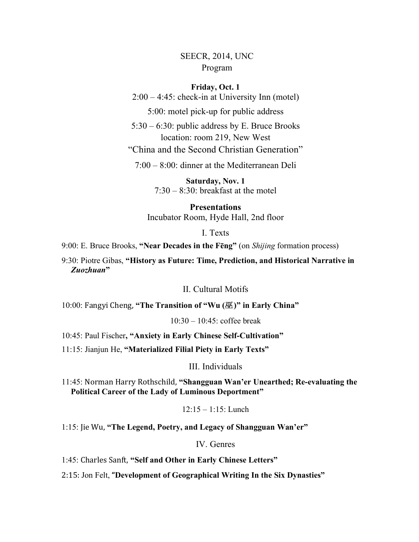# SEECR, 2014, UNC Program

## **Friday, Oct. 1**

2:00 – 4:45: check-in at University Inn (motel)

5:00: motel pick-up for public address

5:30 – 6:30: public address by E. Bruce Brooks location: room 219, New West "China and the Second Christian Generation"

7:00 – 8:00: dinner at the Mediterranean Deli

**Saturday, Nov. 1**  $7:30 - 8:30$ : breakfast at the motel

**Presentations** Incubator Room, Hyde Hall, 2nd floor

I. Texts

# 9:00: E. Bruce Brooks, **"Near Decades in the Fēng"** (on *Shijing* formation process)

9:30: Piotre Gibas, **"History as Future: Time, Prediction, and Historical Narrative in**  *Zuozhuan***"**

II. Cultural Motifs

10:00: Fangyi'Cheng, **"The Transition of "Wu (**巫**)" in Early China"**

 $10:30 - 10:45$ : coffee break

10:45: Paul Fischer**, "Anxiety in Early Chinese Self-Cultivation"**

11:15: Jianjun He, **"Materialized Filial Piety in Early Texts"**

III. Individuals

11:45: Norman'Harry'Rothschild, **"Shangguan Wan'er Unearthed; Re-evaluating the Political Career of the Lady of Luminous Deportment"**

12:15 – 1:15: Lunch

1:15: Jie'Wu, **"The Legend, Poetry, and Legacy of Shangguan Wan'er"**

IV. Genres

1:45: Charles Sanft, "Self and Other in Early Chinese Letters"

2:15: Jon Felt, "Development of Geographical Writing In the Six Dynasties"